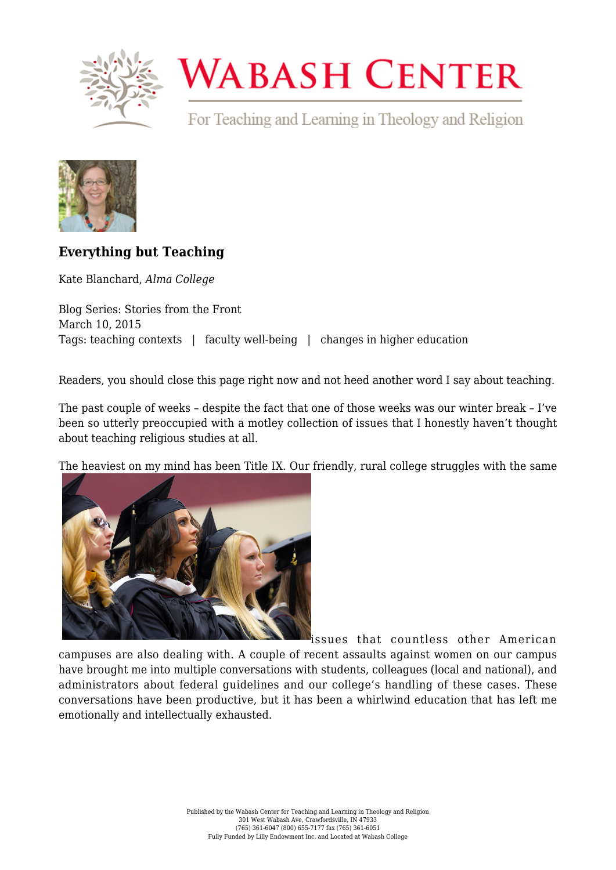

## **WABASH CENTER**

For Teaching and Learning in Theology and Religion



## **[Everything but Teaching](https://www.wabashcenter.wabash.edu/2015/03/everything-but-teaching/)**

Kate Blanchard, *Alma College*

Blog Series: Stories from the Front March 10, 2015 Tags: teaching contexts | faculty well-being | changes in higher education

Readers, you should close this page right now and not heed another word I say about teaching.

The past couple of weeks – despite the fact that one of those weeks was our winter break – I've been so utterly preoccupied with a motley collection of issues that I honestly haven't thought about teaching religious studies at all.

The heaviest on my mind has been [Title IX](http://knowyourix.org/). Our friendly, rural college struggles with the same



issues that countless other American campuses are also dealing with. A couple of recent assaults against women on our campus have brought me into multiple conversations with students, colleagues (local and national), and administrators about federal guidelines and our college's handling of these cases. These conversations have been productive, but it has been a whirlwind education that has left me emotionally and intellectually exhausted.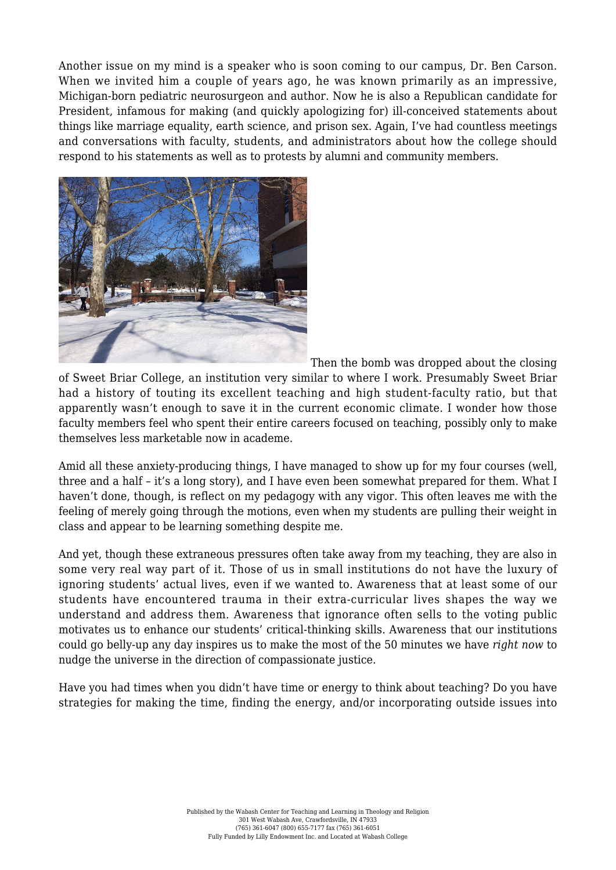Another issue on my mind is a speaker who is soon coming to our campus, [Dr. Ben Carson](http://www.alma.edu/live/news/452-pediatric-neurosurgeon-ben-carson-to-speak-at-alma). When we invited him a couple of years ago, he was known primarily as an impressive, Michigan-born pediatric neurosurgeon and author. Now he is also a Republican candidate for President, infamous for making (and quickly apologizing for) [ill-conceived statements](http://www.msnbc.com/the-last-word/ben-carsons-top-five-eyebrow-raising-comments) about things like marriage equality, earth science, and prison sex. Again, I've had countless meetings and conversations with faculty, students, and administrators about how the college should respond to his statements as well as to protests by alumni and community members.



Then the bomb was dropped about the closing

of [Sweet Briar College](http://chronicle.com/article/Sweet-Briar-s-Demise-Is-a/228231/?cid=at&utm_source=at&utm_medium=en), an institution very similar to where I work. Presumably Sweet Briar had a history of touting its excellent teaching and high student-faculty ratio, but that [apparently](http://www.washingtonpost.com/news/grade-point/wp/2015/03/04/shock-over-sweet-briars-closing-turns-to-determination-to-keep-college-alive/?postshare=9981425485074556) wasn't enough to save it in the current economic climate. I wonder how those faculty members feel who spent their entire careers focused on teaching, possibly only to make themselves less marketable now in academe.

Amid all these anxiety-producing things, I have managed to show up for my four courses (well, three and a half – it's a long story), and I have even been somewhat prepared for them. What I haven't done, though, is reflect on my pedagogy with any vigor. This often leaves me with the feeling of merely going through the motions, even when my students are pulling their weight in class and appear to be learning something despite me.

And yet, though these extraneous pressures often take away from my teaching, they are also in some very real way part of it. Those of us in small institutions [do not have the luxury](http://chronicle.com/article/You-Publish-We-Perish/190361/) of ignoring students' actual lives, even if we wanted to. Awareness that at least some of our students have encountered trauma in their extra-curricular lives shapes the way we understand and address them. Awareness that ignorance often sells to the voting public motivates us to enhance our students' critical-thinking skills. Awareness that our institutions could go belly-up any day inspires us to make the most of the 50 minutes we have *right now* to nudge the universe in the direction of compassionate justice.

Have you had times when you didn't have time or energy to think about teaching? Do you have strategies for making the time, finding the energy, and/or incorporating outside issues into